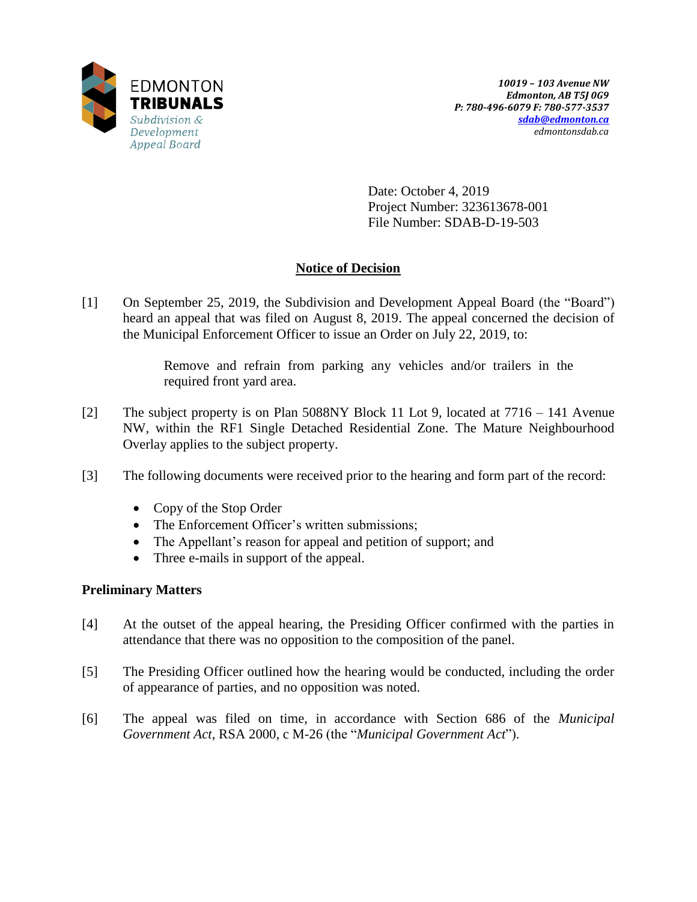

Date: October 4, 2019 Project Number: 323613678-001 File Number: SDAB-D-19-503

# **Notice of Decision**

[1] On September 25, 2019, the Subdivision and Development Appeal Board (the "Board") heard an appeal that was filed on August 8, 2019. The appeal concerned the decision of the Municipal Enforcement Officer to issue an Order on July 22, 2019, to:

> Remove and refrain from parking any vehicles and/or trailers in the required front yard area.

- [2] The subject property is on Plan 5088NY Block 11 Lot 9, located at 7716 141 Avenue NW, within the RF1 Single Detached Residential Zone. The Mature Neighbourhood Overlay applies to the subject property.
- [3] The following documents were received prior to the hearing and form part of the record:
	- Copy of the Stop Order
	- The Enforcement Officer's written submissions;
	- The Appellant's reason for appeal and petition of support; and
	- Three e-mails in support of the appeal.

# **Preliminary Matters**

- [4] At the outset of the appeal hearing, the Presiding Officer confirmed with the parties in attendance that there was no opposition to the composition of the panel.
- [5] The Presiding Officer outlined how the hearing would be conducted, including the order of appearance of parties, and no opposition was noted.
- [6] The appeal was filed on time, in accordance with Section 686 of the *Municipal Government Act*, RSA 2000, c M-26 (the "*Municipal Government Act*").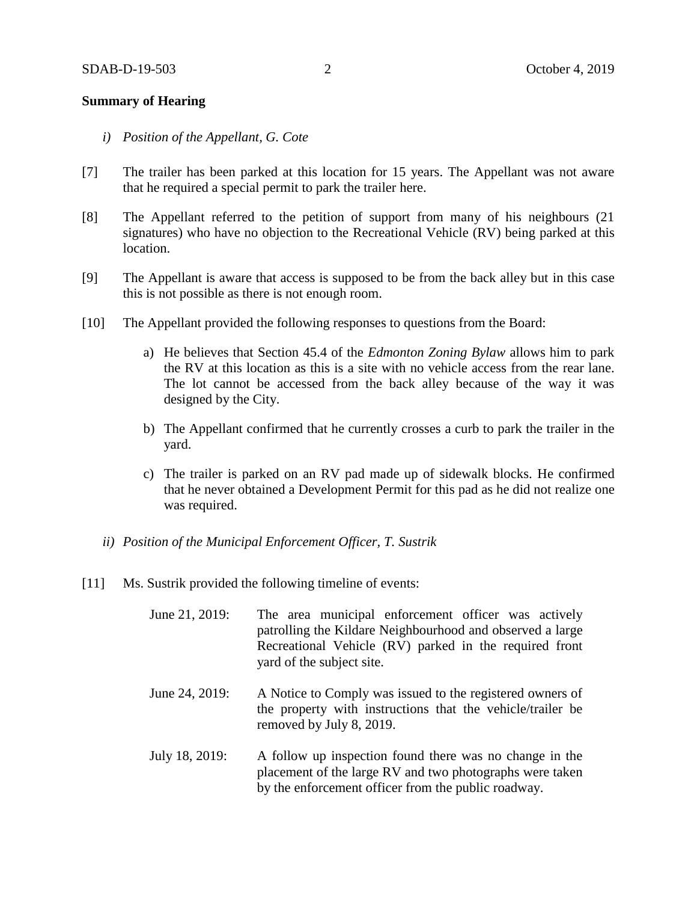## **Summary of Hearing**

- *i) Position of the Appellant, G. Cote*
- [7] The trailer has been parked at this location for 15 years. The Appellant was not aware that he required a special permit to park the trailer here.
- [8] The Appellant referred to the petition of support from many of his neighbours (21 signatures) who have no objection to the Recreational Vehicle (RV) being parked at this location.
- [9] The Appellant is aware that access is supposed to be from the back alley but in this case this is not possible as there is not enough room.
- [10] The Appellant provided the following responses to questions from the Board:
	- a) He believes that Section 45.4 of the *Edmonton Zoning Bylaw* allows him to park the RV at this location as this is a site with no vehicle access from the rear lane. The lot cannot be accessed from the back alley because of the way it was designed by the City.
	- b) The Appellant confirmed that he currently crosses a curb to park the trailer in the yard.
	- c) The trailer is parked on an RV pad made up of sidewalk blocks. He confirmed that he never obtained a Development Permit for this pad as he did not realize one was required.
	- *ii) Position of the Municipal Enforcement Officer, T. Sustrik*
- [11] Ms. Sustrik provided the following timeline of events:
	- June 21, 2019: The area municipal enforcement officer was actively patrolling the Kildare Neighbourhood and observed a large Recreational Vehicle (RV) parked in the required front yard of the subject site.
	- June 24, 2019: A Notice to Comply was issued to the registered owners of the property with instructions that the vehicle/trailer be removed by July 8, 2019.
	- July 18, 2019: A follow up inspection found there was no change in the placement of the large RV and two photographs were taken by the enforcement officer from the public roadway.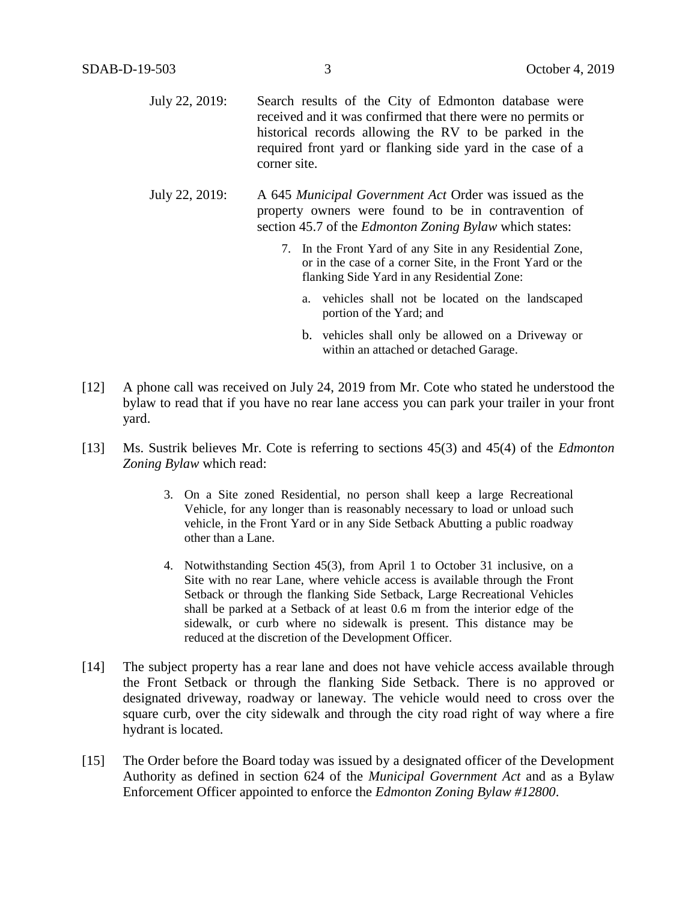| July 22, 2019: | Search results of the City of Edmonton database were        |
|----------------|-------------------------------------------------------------|
|                | received and it was confirmed that there were no permits or |
|                | historical records allowing the RV to be parked in the      |
|                | required front yard or flanking side yard in the case of a  |
|                | corner site.                                                |

July 22, 2019: A 645 *Municipal Government Act* Order was issued as the property owners were found to be in contravention of section 45.7 of the *Edmonton Zoning Bylaw* which states:

- 7. In the Front Yard of any Site in any Residential Zone, or in the case of a corner Site, in the Front Yard or the flanking Side Yard in any Residential Zone:
	- a. vehicles shall not be located on the landscaped portion of the Yard; and
	- b. vehicles shall only be allowed on a Driveway or within an attached or detached Garage.
- [12] A phone call was received on July 24, 2019 from Mr. Cote who stated he understood the bylaw to read that if you have no rear lane access you can park your trailer in your front yard.
- [13] Ms. Sustrik believes Mr. Cote is referring to sections 45(3) and 45(4) of the *Edmonton Zoning Bylaw* which read:
	- 3. On a Site zoned Residential, no person shall keep a large Recreational Vehicle, for any longer than is reasonably necessary to load or unload such vehicle, in the Front Yard or in any Side Setback Abutting a public roadway other than a Lane.
	- 4. Notwithstanding Section 45(3), from April 1 to October 31 inclusive, on a Site with no rear Lane, where vehicle access is available through the Front Setback or through the flanking Side Setback, Large Recreational Vehicles shall be parked at a Setback of at least [0.6 m](javascript:void(0);) from the interior edge of the sidewalk, or curb where no sidewalk is present. This distance may be reduced at the discretion of the Development Officer.
- [14] The subject property has a rear lane and does not have vehicle access available through the Front Setback or through the flanking Side Setback. There is no approved or designated driveway, roadway or laneway. The vehicle would need to cross over the square curb, over the city sidewalk and through the city road right of way where a fire hydrant is located.
- [15] The Order before the Board today was issued by a designated officer of the Development Authority as defined in section 624 of the *Municipal Government Act* and as a Bylaw Enforcement Officer appointed to enforce the *Edmonton Zoning Bylaw #12800*.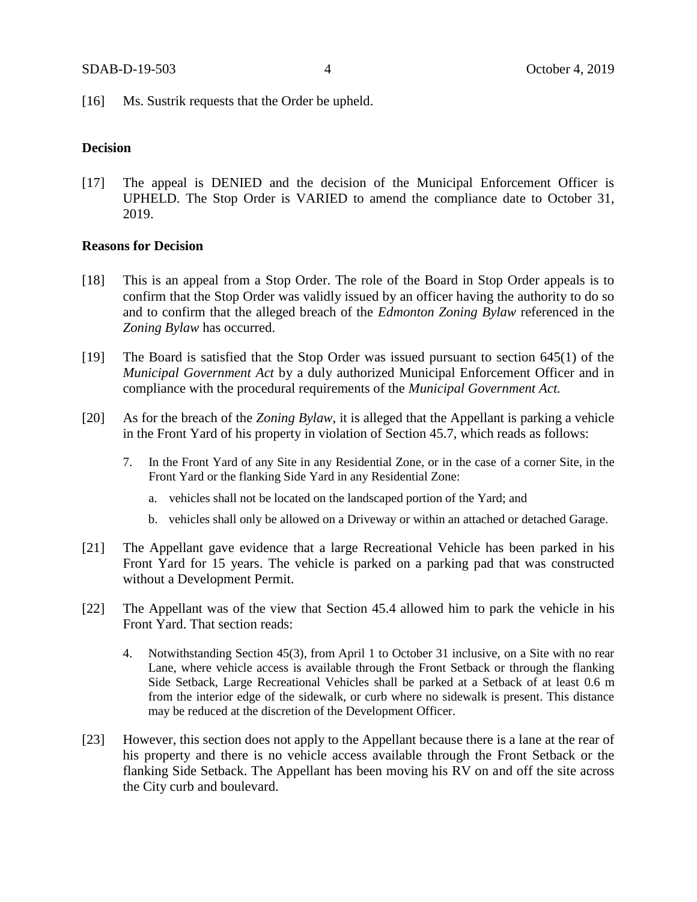[16] Ms. Sustrik requests that the Order be upheld.

#### **Decision**

[17] The appeal is DENIED and the decision of the Municipal Enforcement Officer is UPHELD. The Stop Order is VARIED to amend the compliance date to October 31, 2019.

# **Reasons for Decision**

- [18] This is an appeal from a Stop Order. The role of the Board in Stop Order appeals is to confirm that the Stop Order was validly issued by an officer having the authority to do so and to confirm that the alleged breach of the *Edmonton Zoning Bylaw* referenced in the *Zoning Bylaw* has occurred.
- [19] The Board is satisfied that the Stop Order was issued pursuant to section 645(1) of the *Municipal Government Act* by a duly authorized Municipal Enforcement Officer and in compliance with the procedural requirements of the *Municipal Government Act.*
- [20] As for the breach of the *Zoning Bylaw*, it is alleged that the Appellant is parking a vehicle in the Front Yard of his property in violation of Section 45.7, which reads as follows:
	- 7. In the Front Yard of any Site in any Residential Zone, or in the case of a corner Site, in the Front Yard or the flanking Side Yard in any Residential Zone:
		- a. vehicles shall not be located on the landscaped portion of the Yard; and
		- b. vehicles shall only be allowed on a Driveway or within an attached or detached Garage.
- [21] The Appellant gave evidence that a large Recreational Vehicle has been parked in his Front Yard for 15 years. The vehicle is parked on a parking pad that was constructed without a Development Permit.
- [22] The Appellant was of the view that Section 45.4 allowed him to park the vehicle in his Front Yard. That section reads:
	- 4. Notwithstanding Section 45(3), from April 1 to October 31 inclusive, on a Site with no rear Lane, where vehicle access is available through the Front Setback or through the flanking Side Setback, Large Recreational Vehicles shall be parked at a Setback of at least [0.6 m](javascript:void(0);) from the interior edge of the sidewalk, or curb where no sidewalk is present. This distance may be reduced at the discretion of the Development Officer.
- [23] However, this section does not apply to the Appellant because there is a lane at the rear of his property and there is no vehicle access available through the Front Setback or the flanking Side Setback. The Appellant has been moving his RV on and off the site across the City curb and boulevard.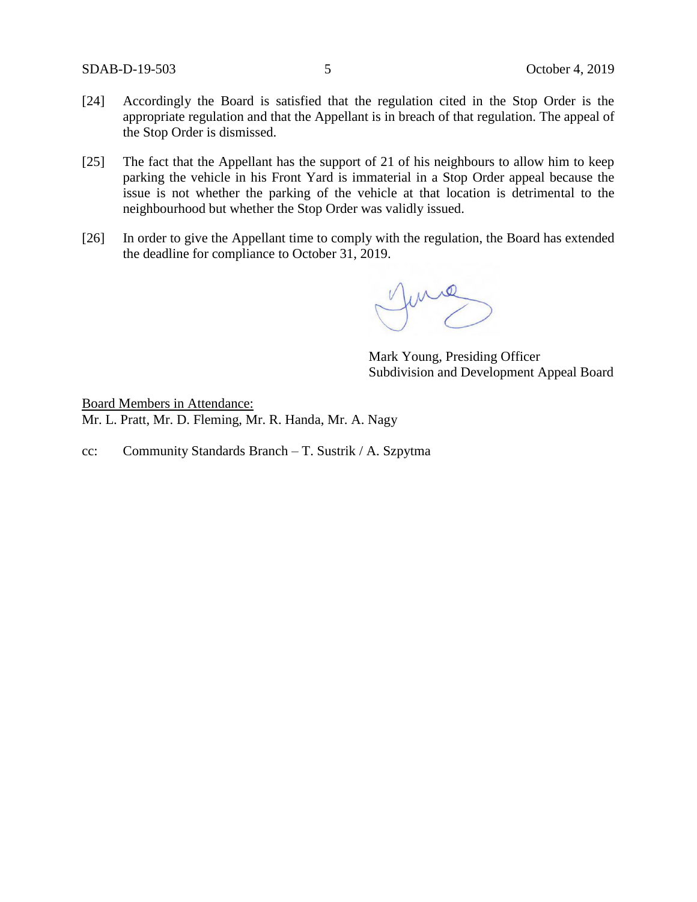- [24] Accordingly the Board is satisfied that the regulation cited in the Stop Order is the appropriate regulation and that the Appellant is in breach of that regulation. The appeal of the Stop Order is dismissed.
- [25] The fact that the Appellant has the support of 21 of his neighbours to allow him to keep parking the vehicle in his Front Yard is immaterial in a Stop Order appeal because the issue is not whether the parking of the vehicle at that location is detrimental to the neighbourhood but whether the Stop Order was validly issued.
- [26] In order to give the Appellant time to comply with the regulation, the Board has extended the deadline for compliance to October 31, 2019.

Jurie

Mark Young, Presiding Officer Subdivision and Development Appeal Board

Board Members in Attendance: Mr. L. Pratt, Mr. D. Fleming, Mr. R. Handa, Mr. A. Nagy

cc: Community Standards Branch – T. Sustrik / A. Szpytma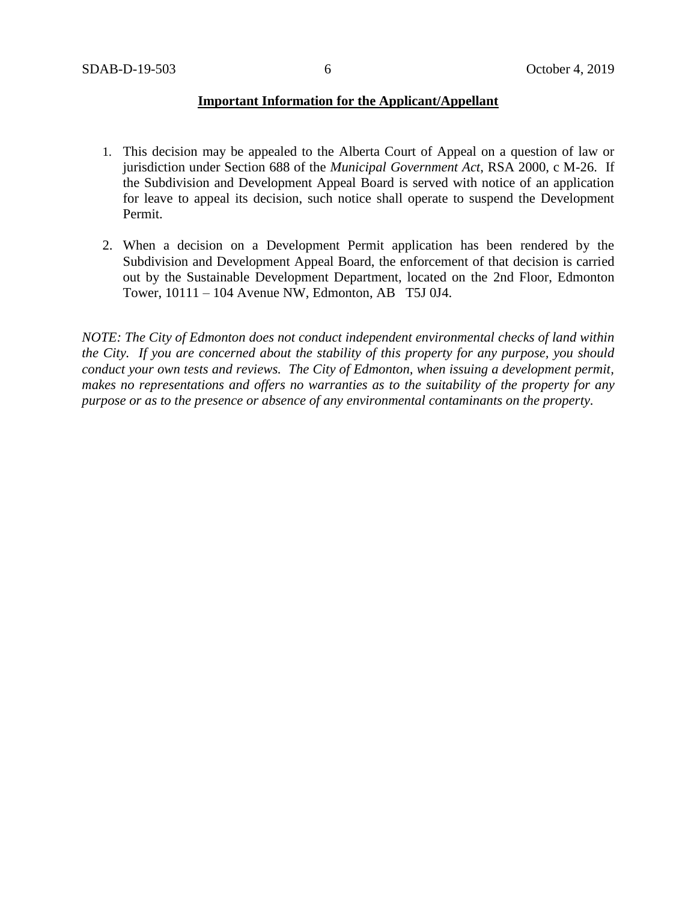## **Important Information for the Applicant/Appellant**

- 1. This decision may be appealed to the Alberta Court of Appeal on a question of law or jurisdiction under Section 688 of the *Municipal Government Act*, RSA 2000, c M-26. If the Subdivision and Development Appeal Board is served with notice of an application for leave to appeal its decision, such notice shall operate to suspend the Development Permit.
- 2. When a decision on a Development Permit application has been rendered by the Subdivision and Development Appeal Board, the enforcement of that decision is carried out by the Sustainable Development Department, located on the 2nd Floor, Edmonton Tower, 10111 – 104 Avenue NW, Edmonton, AB T5J 0J4.

*NOTE: The City of Edmonton does not conduct independent environmental checks of land within the City. If you are concerned about the stability of this property for any purpose, you should conduct your own tests and reviews. The City of Edmonton, when issuing a development permit, makes no representations and offers no warranties as to the suitability of the property for any purpose or as to the presence or absence of any environmental contaminants on the property.*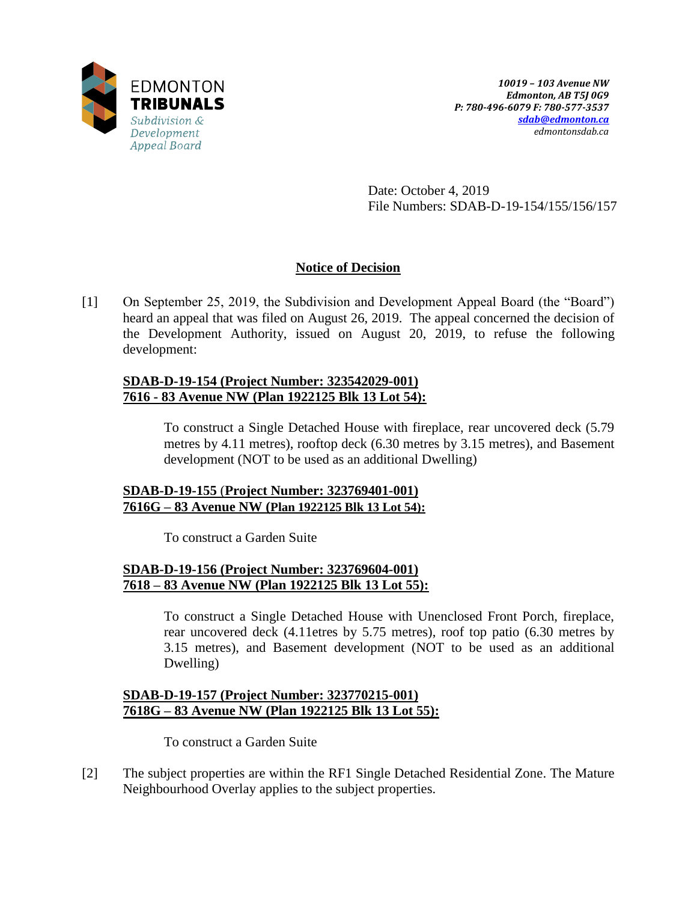

Date: October 4, 2019 File Numbers: SDAB-D-19-154/155/156/157

# **Notice of Decision**

[1] On September 25, 2019, the Subdivision and Development Appeal Board (the "Board") heard an appeal that was filed on August 26, 2019. The appeal concerned the decision of the Development Authority, issued on August 20, 2019, to refuse the following development:

# **SDAB-D-19-154 (Project Number: 323542029-001) 7616 - 83 Avenue NW (Plan 1922125 Blk 13 Lot 54):**

To construct a Single Detached House with fireplace, rear uncovered deck (5.79 metres by 4.11 metres), rooftop deck (6.30 metres by 3.15 metres), and Basement development (NOT to be used as an additional Dwelling)

# **SDAB-D-19-155** (**Project Number: 323769401-001) 7616G – 83 Avenue NW (Plan 1922125 Blk 13 Lot 54):**

To construct a Garden Suite

# **SDAB-D-19-156 (Project Number: 323769604-001) 7618 – 83 Avenue NW (Plan 1922125 Blk 13 Lot 55):**

To construct a Single Detached House with Unenclosed Front Porch, fireplace, rear uncovered deck (4.11etres by 5.75 metres), roof top patio (6.30 metres by 3.15 metres), and Basement development (NOT to be used as an additional Dwelling)

# **SDAB-D-19-157 (Project Number: 323770215-001) 7618G – 83 Avenue NW (Plan 1922125 Blk 13 Lot 55):**

To construct a Garden Suite

[2] The subject properties are within the RF1 Single Detached Residential Zone. The Mature Neighbourhood Overlay applies to the subject properties.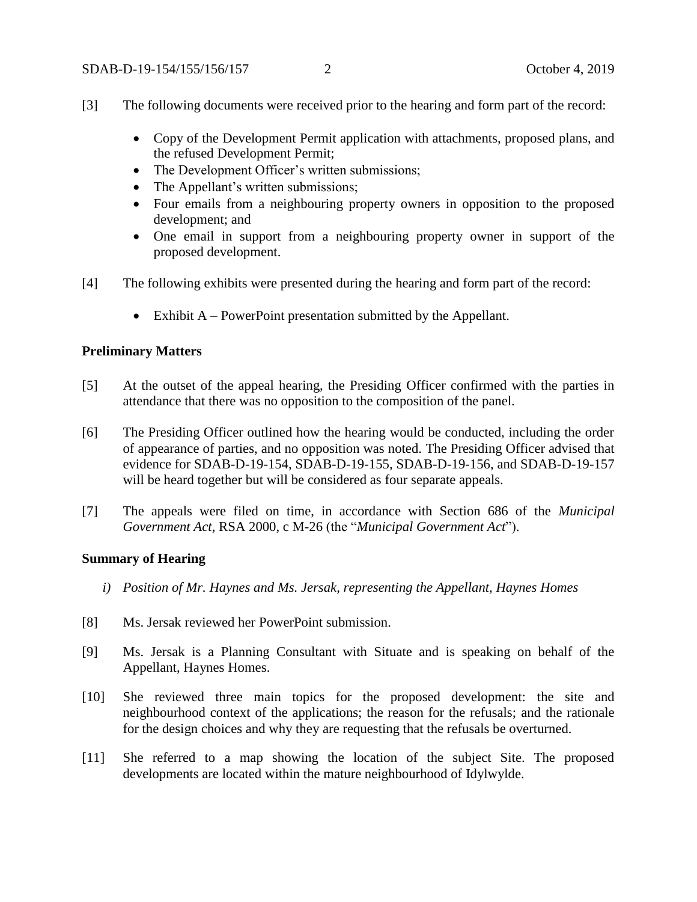- [3] The following documents were received prior to the hearing and form part of the record:
	- Copy of the Development Permit application with attachments, proposed plans, and the refused Development Permit;
	- The Development Officer's written submissions;
	- The Appellant's written submissions;
	- Four emails from a neighbouring property owners in opposition to the proposed development; and
	- One email in support from a neighbouring property owner in support of the proposed development.
- [4] The following exhibits were presented during the hearing and form part of the record:
	- Exhibit  $A PowerPoint presentation submitted by the Appendix.$

#### **Preliminary Matters**

- [5] At the outset of the appeal hearing, the Presiding Officer confirmed with the parties in attendance that there was no opposition to the composition of the panel.
- [6] The Presiding Officer outlined how the hearing would be conducted, including the order of appearance of parties, and no opposition was noted. The Presiding Officer advised that evidence for SDAB-D-19-154, SDAB-D-19-155, SDAB-D-19-156, and SDAB-D-19-157 will be heard together but will be considered as four separate appeals.
- [7] The appeals were filed on time, in accordance with Section 686 of the *Municipal Government Act*, RSA 2000, c M-26 (the "*Municipal Government Act*").

#### **Summary of Hearing**

- *i) Position of Mr. Haynes and Ms. Jersak, representing the Appellant, Haynes Homes*
- [8] Ms. Jersak reviewed her PowerPoint submission.
- [9] Ms. Jersak is a Planning Consultant with Situate and is speaking on behalf of the Appellant, Haynes Homes.
- [10] She reviewed three main topics for the proposed development: the site and neighbourhood context of the applications; the reason for the refusals; and the rationale for the design choices and why they are requesting that the refusals be overturned.
- [11] She referred to a map showing the location of the subject Site. The proposed developments are located within the mature neighbourhood of Idylwylde.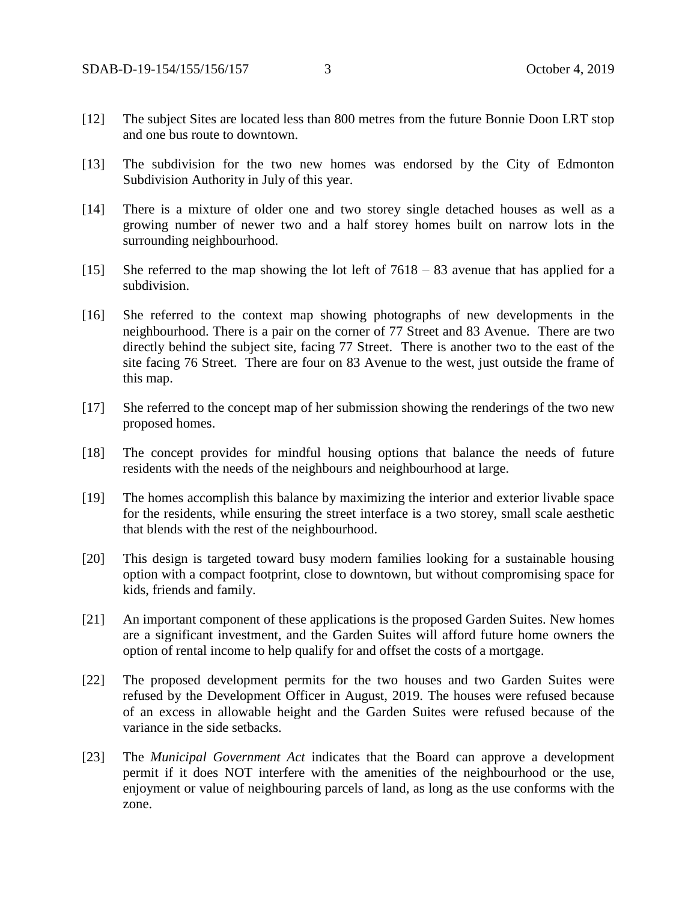- [12] The subject Sites are located less than 800 metres from the future Bonnie Doon LRT stop and one bus route to downtown.
- [13] The subdivision for the two new homes was endorsed by the City of Edmonton Subdivision Authority in July of this year.
- [14] There is a mixture of older one and two storey single detached houses as well as a growing number of newer two and a half storey homes built on narrow lots in the surrounding neighbourhood.
- [15] She referred to the map showing the lot left of 7618 83 avenue that has applied for a subdivision.
- [16] She referred to the context map showing photographs of new developments in the neighbourhood. There is a pair on the corner of 77 Street and 83 Avenue. There are two directly behind the subject site, facing 77 Street. There is another two to the east of the site facing 76 Street. There are four on 83 Avenue to the west, just outside the frame of this map.
- [17] She referred to the concept map of her submission showing the renderings of the two new proposed homes.
- [18] The concept provides for mindful housing options that balance the needs of future residents with the needs of the neighbours and neighbourhood at large.
- [19] The homes accomplish this balance by maximizing the interior and exterior livable space for the residents, while ensuring the street interface is a two storey, small scale aesthetic that blends with the rest of the neighbourhood.
- [20] This design is targeted toward busy modern families looking for a sustainable housing option with a compact footprint, close to downtown, but without compromising space for kids, friends and family.
- [21] An important component of these applications is the proposed Garden Suites. New homes are a significant investment, and the Garden Suites will afford future home owners the option of rental income to help qualify for and offset the costs of a mortgage.
- [22] The proposed development permits for the two houses and two Garden Suites were refused by the Development Officer in August, 2019. The houses were refused because of an excess in allowable height and the Garden Suites were refused because of the variance in the side setbacks.
- [23] The *Municipal Government Act* indicates that the Board can approve a development permit if it does NOT interfere with the amenities of the neighbourhood or the use, enjoyment or value of neighbouring parcels of land, as long as the use conforms with the zone.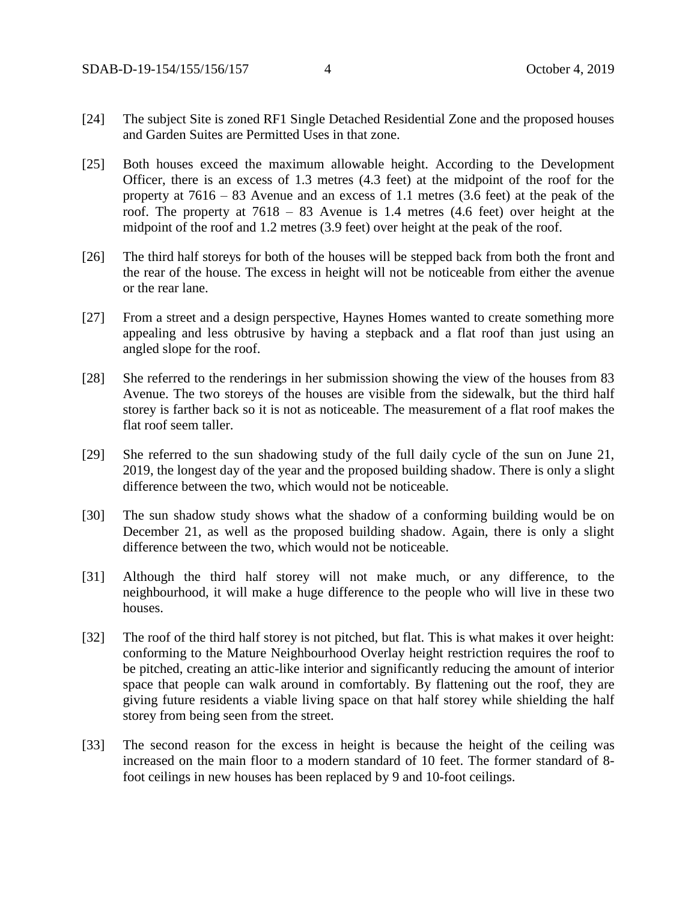- [24] The subject Site is zoned RF1 Single Detached Residential Zone and the proposed houses and Garden Suites are Permitted Uses in that zone.
- [25] Both houses exceed the maximum allowable height. According to the Development Officer, there is an excess of 1.3 metres (4.3 feet) at the midpoint of the roof for the property at 7616 – 83 Avenue and an excess of 1.1 metres (3.6 feet) at the peak of the roof. The property at 7618 – 83 Avenue is 1.4 metres (4.6 feet) over height at the midpoint of the roof and 1.2 metres (3.9 feet) over height at the peak of the roof.
- [26] The third half storeys for both of the houses will be stepped back from both the front and the rear of the house. The excess in height will not be noticeable from either the avenue or the rear lane.
- [27] From a street and a design perspective, Haynes Homes wanted to create something more appealing and less obtrusive by having a stepback and a flat roof than just using an angled slope for the roof.
- [28] She referred to the renderings in her submission showing the view of the houses from 83 Avenue. The two storeys of the houses are visible from the sidewalk, but the third half storey is farther back so it is not as noticeable. The measurement of a flat roof makes the flat roof seem taller.
- [29] She referred to the sun shadowing study of the full daily cycle of the sun on June 21, 2019, the longest day of the year and the proposed building shadow. There is only a slight difference between the two, which would not be noticeable.
- [30] The sun shadow study shows what the shadow of a conforming building would be on December 21, as well as the proposed building shadow. Again, there is only a slight difference between the two, which would not be noticeable.
- [31] Although the third half storey will not make much, or any difference, to the neighbourhood, it will make a huge difference to the people who will live in these two houses.
- [32] The roof of the third half storey is not pitched, but flat. This is what makes it over height: conforming to the Mature Neighbourhood Overlay height restriction requires the roof to be pitched, creating an attic-like interior and significantly reducing the amount of interior space that people can walk around in comfortably. By flattening out the roof, they are giving future residents a viable living space on that half storey while shielding the half storey from being seen from the street.
- [33] The second reason for the excess in height is because the height of the ceiling was increased on the main floor to a modern standard of 10 feet. The former standard of 8 foot ceilings in new houses has been replaced by 9 and 10-foot ceilings.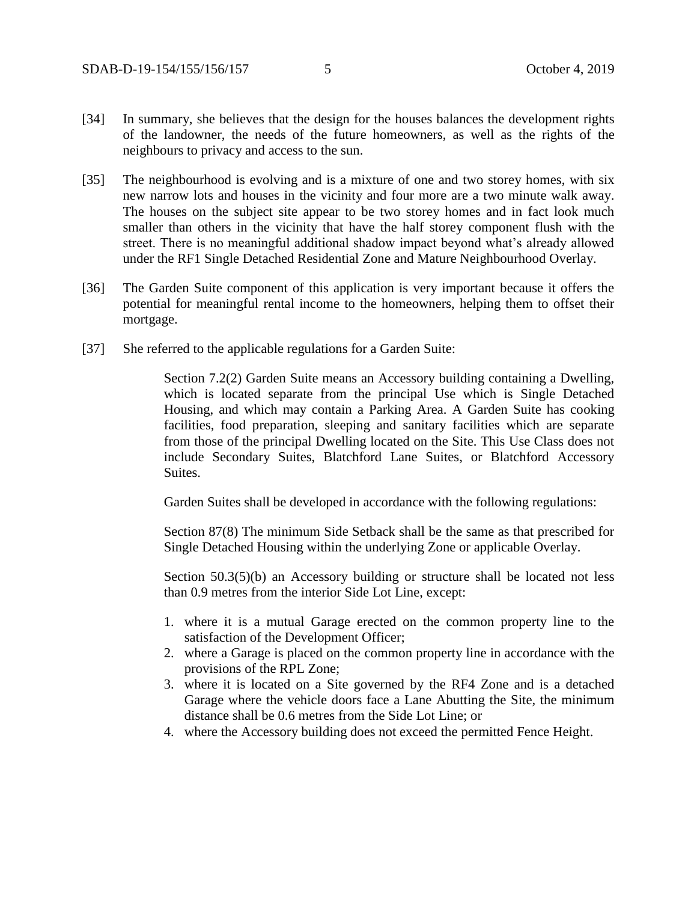- [34] In summary, she believes that the design for the houses balances the development rights of the landowner, the needs of the future homeowners, as well as the rights of the neighbours to privacy and access to the sun.
- [35] The neighbourhood is evolving and is a mixture of one and two storey homes, with six new narrow lots and houses in the vicinity and four more are a two minute walk away. The houses on the subject site appear to be two storey homes and in fact look much smaller than others in the vicinity that have the half storey component flush with the street. There is no meaningful additional shadow impact beyond what's already allowed under the RF1 Single Detached Residential Zone and Mature Neighbourhood Overlay.
- [36] The Garden Suite component of this application is very important because it offers the potential for meaningful rental income to the homeowners, helping them to offset their mortgage.
- [37] She referred to the applicable regulations for a Garden Suite:

Section 7.2(2) Garden Suite means an Accessory building containing a Dwelling, which is located separate from the principal Use which is Single Detached Housing, and which may contain a Parking Area. A Garden Suite has cooking facilities, food preparation, sleeping and sanitary facilities which are separate from those of the principal Dwelling located on the Site. This Use Class does not include Secondary Suites, Blatchford Lane Suites, or Blatchford Accessory Suites.

Garden Suites shall be developed in accordance with the following regulations:

Section 87(8) The minimum Side Setback shall be the same as that prescribed for Single Detached Housing within the underlying Zone or applicable Overlay.

Section 50.3(5)(b) an Accessory building or structure shall be located not less than 0.9 metres from the interior Side Lot Line, except:

- 1. where it is a mutual Garage erected on the common property line to the satisfaction of the Development Officer;
- 2. where a Garage is placed on the common property line in accordance with the provisions of the RPL Zone;
- 3. where it is located on a Site governed by the RF4 Zone and is a detached Garage where the vehicle doors face a Lane Abutting the Site, the minimum distance shall be 0.6 metres from the Side Lot Line; or
- 4. where the Accessory building does not exceed the permitted Fence Height.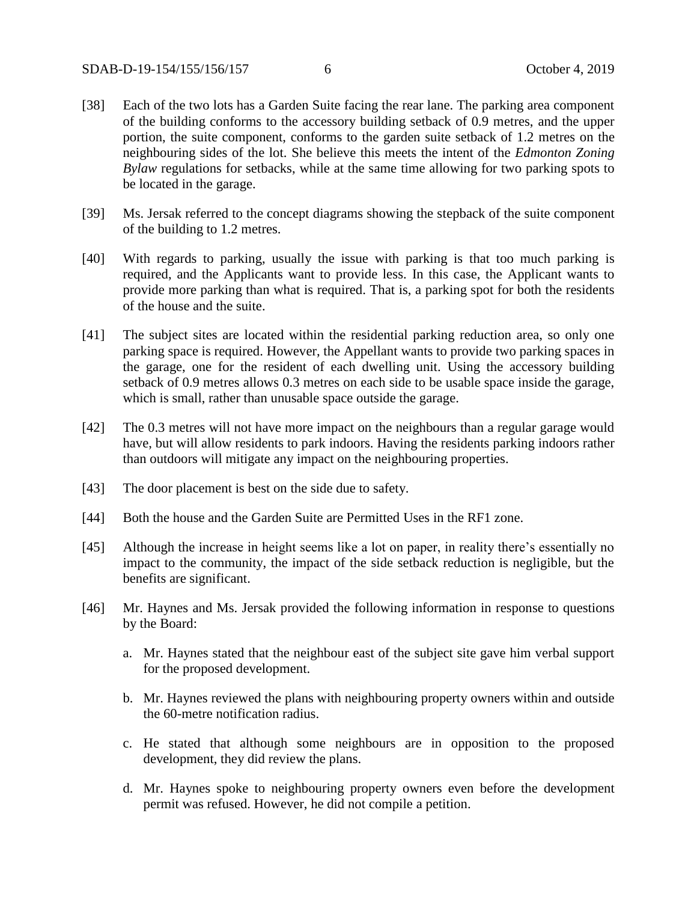- [38] Each of the two lots has a Garden Suite facing the rear lane. The parking area component of the building conforms to the accessory building setback of 0.9 metres, and the upper portion, the suite component, conforms to the garden suite setback of 1.2 metres on the neighbouring sides of the lot. She believe this meets the intent of the *Edmonton Zoning Bylaw* regulations for setbacks, while at the same time allowing for two parking spots to be located in the garage.
- [39] Ms. Jersak referred to the concept diagrams showing the stepback of the suite component of the building to 1.2 metres.
- [40] With regards to parking, usually the issue with parking is that too much parking is required, and the Applicants want to provide less. In this case, the Applicant wants to provide more parking than what is required. That is, a parking spot for both the residents of the house and the suite.
- [41] The subject sites are located within the residential parking reduction area, so only one parking space is required. However, the Appellant wants to provide two parking spaces in the garage, one for the resident of each dwelling unit. Using the accessory building setback of 0.9 metres allows 0.3 metres on each side to be usable space inside the garage, which is small, rather than unusable space outside the garage.
- [42] The 0.3 metres will not have more impact on the neighbours than a regular garage would have, but will allow residents to park indoors. Having the residents parking indoors rather than outdoors will mitigate any impact on the neighbouring properties.
- [43] The door placement is best on the side due to safety.
- [44] Both the house and the Garden Suite are Permitted Uses in the RF1 zone.
- [45] Although the increase in height seems like a lot on paper, in reality there's essentially no impact to the community, the impact of the side setback reduction is negligible, but the benefits are significant.
- [46] Mr. Haynes and Ms. Jersak provided the following information in response to questions by the Board:
	- a. Mr. Haynes stated that the neighbour east of the subject site gave him verbal support for the proposed development.
	- b. Mr. Haynes reviewed the plans with neighbouring property owners within and outside the 60-metre notification radius.
	- c. He stated that although some neighbours are in opposition to the proposed development, they did review the plans.
	- d. Mr. Haynes spoke to neighbouring property owners even before the development permit was refused. However, he did not compile a petition.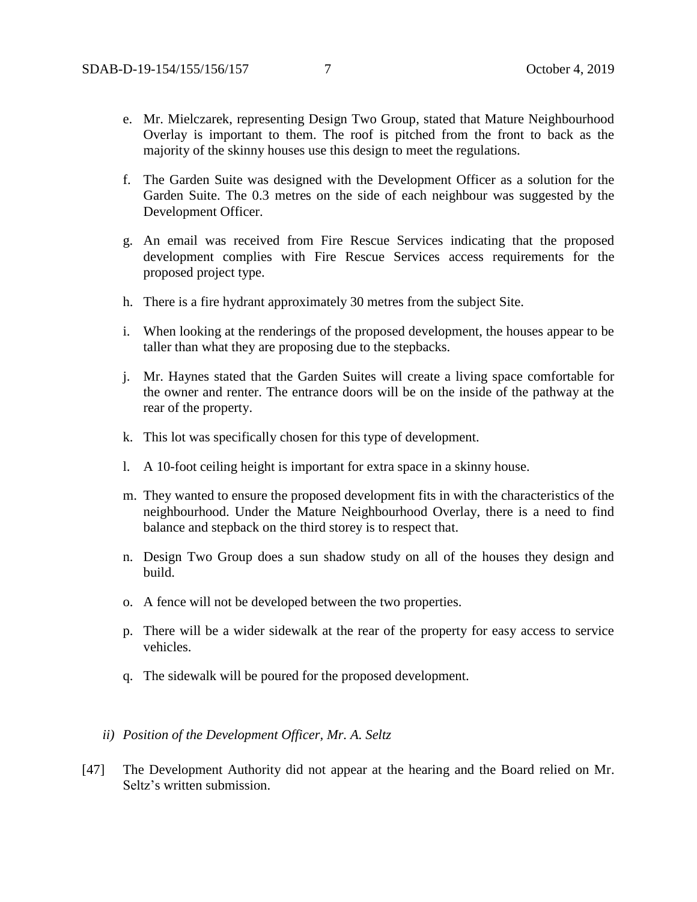- e. Mr. Mielczarek, representing Design Two Group, stated that Mature Neighbourhood Overlay is important to them. The roof is pitched from the front to back as the majority of the skinny houses use this design to meet the regulations.
- f. The Garden Suite was designed with the Development Officer as a solution for the Garden Suite. The 0.3 metres on the side of each neighbour was suggested by the Development Officer.
- g. An email was received from Fire Rescue Services indicating that the proposed development complies with Fire Rescue Services access requirements for the proposed project type.
- h. There is a fire hydrant approximately 30 metres from the subject Site.
- i. When looking at the renderings of the proposed development, the houses appear to be taller than what they are proposing due to the stepbacks.
- j. Mr. Haynes stated that the Garden Suites will create a living space comfortable for the owner and renter. The entrance doors will be on the inside of the pathway at the rear of the property.
- k. This lot was specifically chosen for this type of development.
- l. A 10-foot ceiling height is important for extra space in a skinny house.
- m. They wanted to ensure the proposed development fits in with the characteristics of the neighbourhood. Under the Mature Neighbourhood Overlay, there is a need to find balance and stepback on the third storey is to respect that.
- n. Design Two Group does a sun shadow study on all of the houses they design and build.
- o. A fence will not be developed between the two properties.
- p. There will be a wider sidewalk at the rear of the property for easy access to service vehicles.
- q. The sidewalk will be poured for the proposed development.
- *ii) Position of the Development Officer, Mr. A. Seltz*
- [47] The Development Authority did not appear at the hearing and the Board relied on Mr. Seltz's written submission.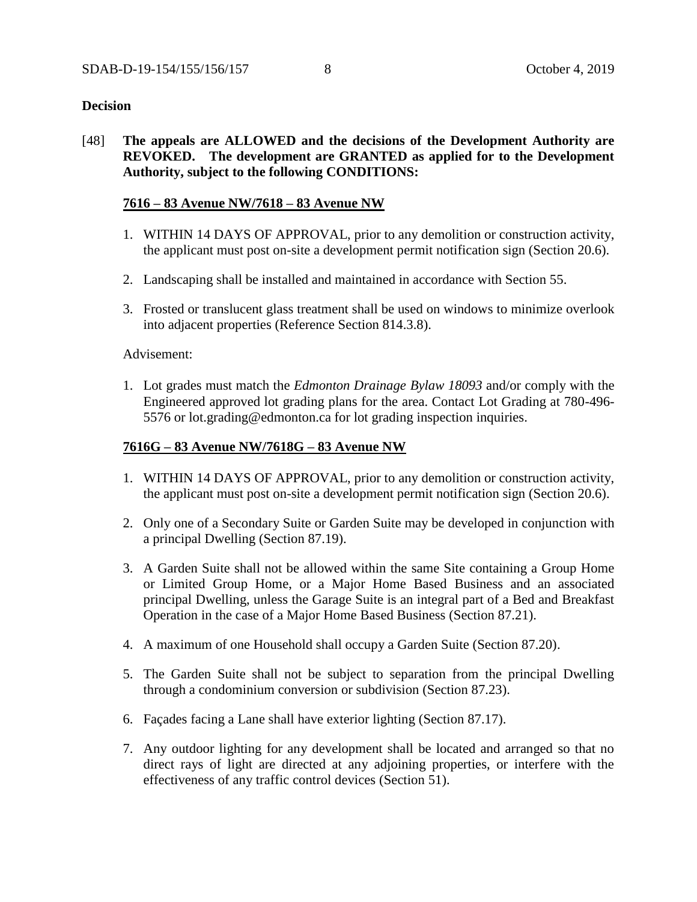## **Decision**

[48] **The appeals are ALLOWED and the decisions of the Development Authority are REVOKED. The development are GRANTED as applied for to the Development Authority, subject to the following CONDITIONS:**

## **7616 – 83 Avenue NW/7618 – 83 Avenue NW**

- 1. WITHIN 14 DAYS OF APPROVAL, prior to any demolition or construction activity, the applicant must post on-site a development permit notification sign (Section 20.6).
- 2. Landscaping shall be installed and maintained in accordance with Section 55.
- 3. Frosted or translucent glass treatment shall be used on windows to minimize overlook into adjacent properties (Reference Section 814.3.8).

#### Advisement:

1. Lot grades must match the *Edmonton Drainage Bylaw 18093* and/or comply with the Engineered approved lot grading plans for the area. Contact Lot Grading at 780-496- 5576 or lot.grading@edmonton.ca for lot grading inspection inquiries.

## **7616G – 83 Avenue NW/7618G – 83 Avenue NW**

- 1. WITHIN 14 DAYS OF APPROVAL, prior to any demolition or construction activity, the applicant must post on-site a development permit notification sign (Section 20.6).
- 2. Only one of a Secondary Suite or Garden Suite may be developed in conjunction with a principal Dwelling (Section 87.19).
- 3. A Garden Suite shall not be allowed within the same Site containing a Group Home or Limited Group Home, or a Major Home Based Business and an associated principal Dwelling, unless the Garage Suite is an integral part of a Bed and Breakfast Operation in the case of a Major Home Based Business (Section 87.21).
- 4. A maximum of one Household shall occupy a Garden Suite (Section 87.20).
- 5. The Garden Suite shall not be subject to separation from the principal Dwelling through a condominium conversion or subdivision (Section 87.23).
- 6. Façades facing a Lane shall have exterior lighting (Section 87.17).
- 7. Any outdoor lighting for any development shall be located and arranged so that no direct rays of light are directed at any adjoining properties, or interfere with the effectiveness of any traffic control devices (Section 51).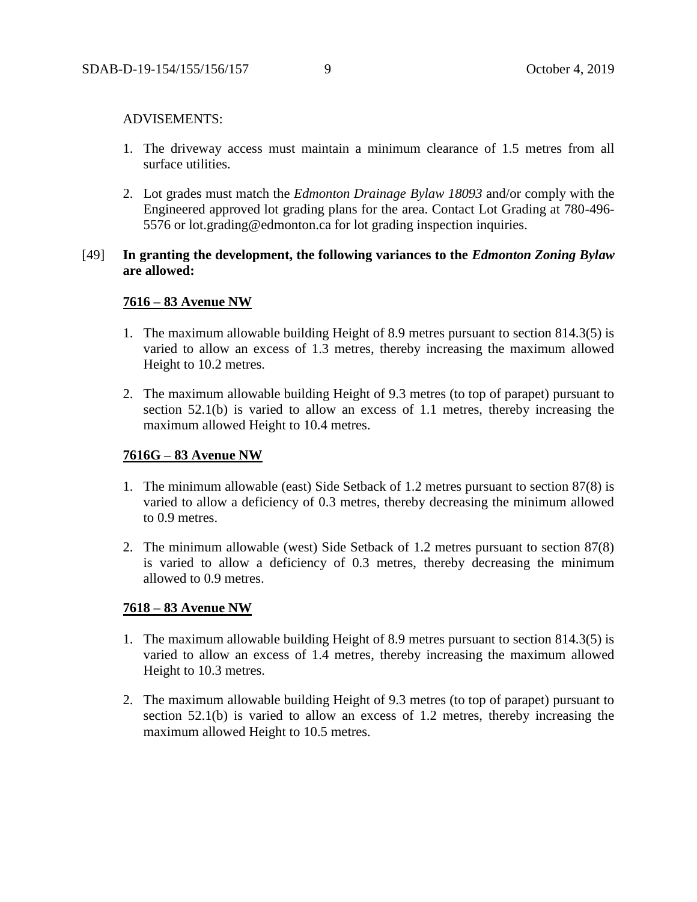#### ADVISEMENTS:

- 1. The driveway access must maintain a minimum clearance of 1.5 metres from all surface utilities.
- 2. Lot grades must match the *Edmonton Drainage Bylaw 18093* and/or comply with the Engineered approved lot grading plans for the area. Contact Lot Grading at 780-496- 5576 or lot.grading@edmonton.ca for lot grading inspection inquiries.

## [49] **In granting the development, the following variances to the** *Edmonton Zoning Bylaw* **are allowed:**

## **7616 – 83 Avenue NW**

- 1. The maximum allowable building Height of 8.9 metres pursuant to section 814.3(5) is varied to allow an excess of 1.3 metres, thereby increasing the maximum allowed Height to 10.2 metres.
- 2. The maximum allowable building Height of 9.3 metres (to top of parapet) pursuant to section 52.1(b) is varied to allow an excess of 1.1 metres, thereby increasing the maximum allowed Height to 10.4 metres.

## **7616G – 83 Avenue NW**

- 1. The minimum allowable (east) Side Setback of 1.2 metres pursuant to section 87(8) is varied to allow a deficiency of 0.3 metres, thereby decreasing the minimum allowed to 0.9 metres.
- 2. The minimum allowable (west) Side Setback of 1.2 metres pursuant to section 87(8) is varied to allow a deficiency of 0.3 metres, thereby decreasing the minimum allowed to 0.9 metres.

## **7618 – 83 Avenue NW**

- 1. The maximum allowable building Height of 8.9 metres pursuant to section 814.3(5) is varied to allow an excess of 1.4 metres, thereby increasing the maximum allowed Height to 10.3 metres.
- 2. The maximum allowable building Height of 9.3 metres (to top of parapet) pursuant to section 52.1(b) is varied to allow an excess of 1.2 metres, thereby increasing the maximum allowed Height to 10.5 metres.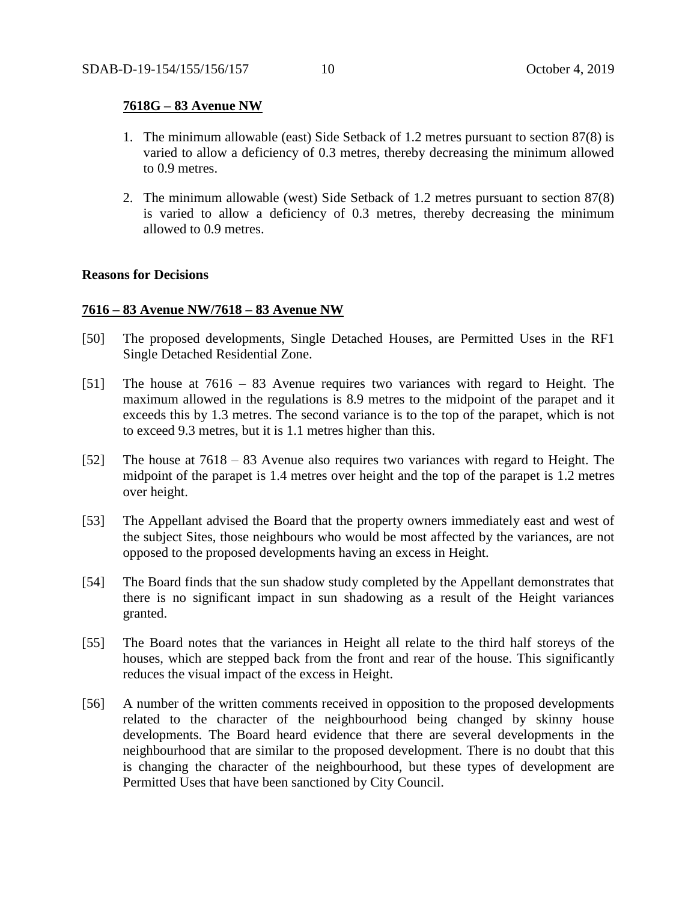#### **7618G – 83 Avenue NW**

- 1. The minimum allowable (east) Side Setback of 1.2 metres pursuant to section 87(8) is varied to allow a deficiency of 0.3 metres, thereby decreasing the minimum allowed to 0.9 metres.
- 2. The minimum allowable (west) Side Setback of 1.2 metres pursuant to section 87(8) is varied to allow a deficiency of 0.3 metres, thereby decreasing the minimum allowed to 0.9 metres.

#### **Reasons for Decisions**

## **7616 – 83 Avenue NW/7618 – 83 Avenue NW**

- [50] The proposed developments, Single Detached Houses, are Permitted Uses in the RF1 Single Detached Residential Zone.
- [51] The house at 7616 83 Avenue requires two variances with regard to Height. The maximum allowed in the regulations is 8.9 metres to the midpoint of the parapet and it exceeds this by 1.3 metres. The second variance is to the top of the parapet, which is not to exceed 9.3 metres, but it is 1.1 metres higher than this.
- [52] The house at 7618 83 Avenue also requires two variances with regard to Height. The midpoint of the parapet is 1.4 metres over height and the top of the parapet is 1.2 metres over height.
- [53] The Appellant advised the Board that the property owners immediately east and west of the subject Sites, those neighbours who would be most affected by the variances, are not opposed to the proposed developments having an excess in Height.
- [54] The Board finds that the sun shadow study completed by the Appellant demonstrates that there is no significant impact in sun shadowing as a result of the Height variances granted.
- [55] The Board notes that the variances in Height all relate to the third half storeys of the houses, which are stepped back from the front and rear of the house. This significantly reduces the visual impact of the excess in Height.
- [56] A number of the written comments received in opposition to the proposed developments related to the character of the neighbourhood being changed by skinny house developments. The Board heard evidence that there are several developments in the neighbourhood that are similar to the proposed development. There is no doubt that this is changing the character of the neighbourhood, but these types of development are Permitted Uses that have been sanctioned by City Council.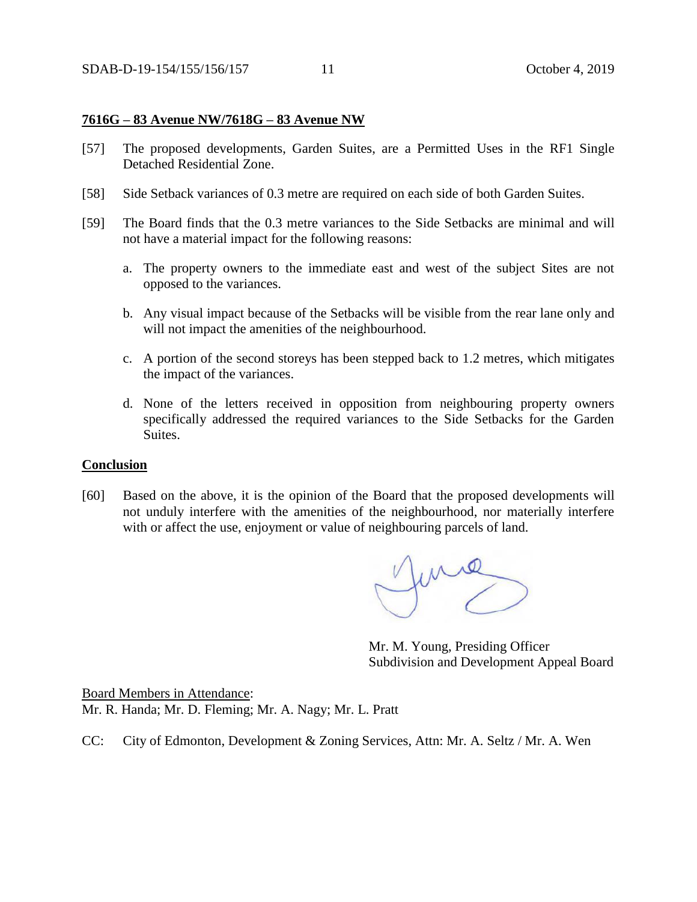#### **7616G – 83 Avenue NW/7618G – 83 Avenue NW**

- [57] The proposed developments, Garden Suites, are a Permitted Uses in the RF1 Single Detached Residential Zone.
- [58] Side Setback variances of 0.3 metre are required on each side of both Garden Suites.
- [59] The Board finds that the 0.3 metre variances to the Side Setbacks are minimal and will not have a material impact for the following reasons:
	- a. The property owners to the immediate east and west of the subject Sites are not opposed to the variances.
	- b. Any visual impact because of the Setbacks will be visible from the rear lane only and will not impact the amenities of the neighbourhood.
	- c. A portion of the second storeys has been stepped back to 1.2 metres, which mitigates the impact of the variances.
	- d. None of the letters received in opposition from neighbouring property owners specifically addressed the required variances to the Side Setbacks for the Garden Suites.

#### **Conclusion**

[60] Based on the above, it is the opinion of the Board that the proposed developments will not unduly interfere with the amenities of the neighbourhood, nor materially interfere with or affect the use, enjoyment or value of neighbouring parcels of land.

fund

Mr. M. Young, Presiding Officer Subdivision and Development Appeal Board

Board Members in Attendance: Mr. R. Handa; Mr. D. Fleming; Mr. A. Nagy; Mr. L. Pratt

CC: City of Edmonton, Development & Zoning Services, Attn: Mr. A. Seltz / Mr. A. Wen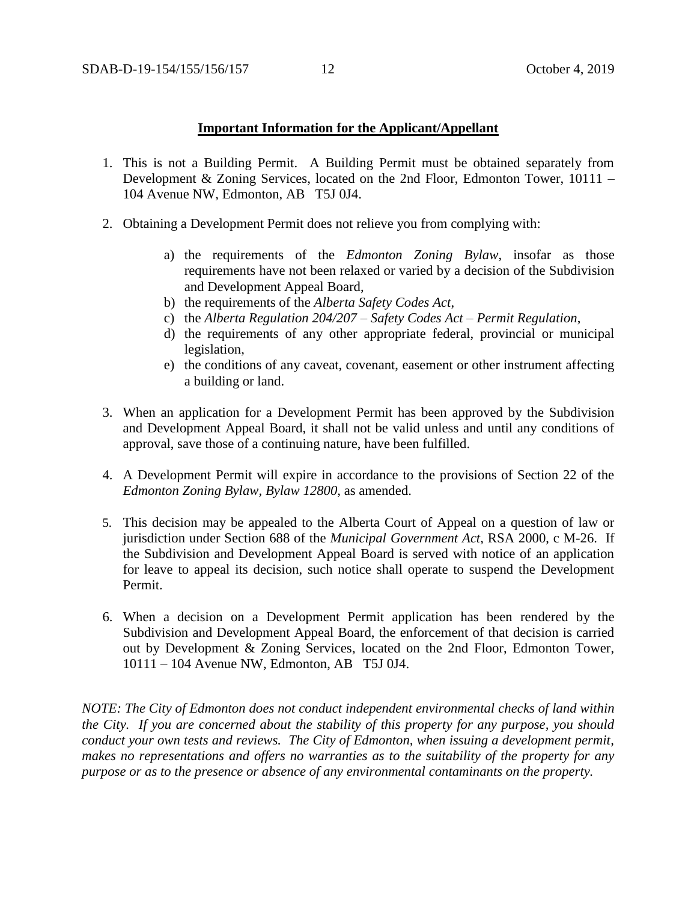#### **Important Information for the Applicant/Appellant**

- 1. This is not a Building Permit. A Building Permit must be obtained separately from Development & Zoning Services, located on the 2nd Floor, Edmonton Tower, 10111 – 104 Avenue NW, Edmonton, AB T5J 0J4.
- 2. Obtaining a Development Permit does not relieve you from complying with:
	- a) the requirements of the *Edmonton Zoning Bylaw*, insofar as those requirements have not been relaxed or varied by a decision of the Subdivision and Development Appeal Board,
	- b) the requirements of the *Alberta Safety Codes Act*,
	- c) the *Alberta Regulation 204/207 – Safety Codes Act – Permit Regulation*,
	- d) the requirements of any other appropriate federal, provincial or municipal legislation,
	- e) the conditions of any caveat, covenant, easement or other instrument affecting a building or land.
- 3. When an application for a Development Permit has been approved by the Subdivision and Development Appeal Board, it shall not be valid unless and until any conditions of approval, save those of a continuing nature, have been fulfilled.
- 4. A Development Permit will expire in accordance to the provisions of Section 22 of the *Edmonton Zoning Bylaw, Bylaw 12800*, as amended.
- 5. This decision may be appealed to the Alberta Court of Appeal on a question of law or jurisdiction under Section 688 of the *Municipal Government Act*, RSA 2000, c M-26. If the Subdivision and Development Appeal Board is served with notice of an application for leave to appeal its decision, such notice shall operate to suspend the Development Permit.
- 6. When a decision on a Development Permit application has been rendered by the Subdivision and Development Appeal Board, the enforcement of that decision is carried out by Development & Zoning Services, located on the 2nd Floor, Edmonton Tower, 10111 – 104 Avenue NW, Edmonton, AB T5J 0J4.

*NOTE: The City of Edmonton does not conduct independent environmental checks of land within the City. If you are concerned about the stability of this property for any purpose, you should conduct your own tests and reviews. The City of Edmonton, when issuing a development permit, makes no representations and offers no warranties as to the suitability of the property for any purpose or as to the presence or absence of any environmental contaminants on the property.*